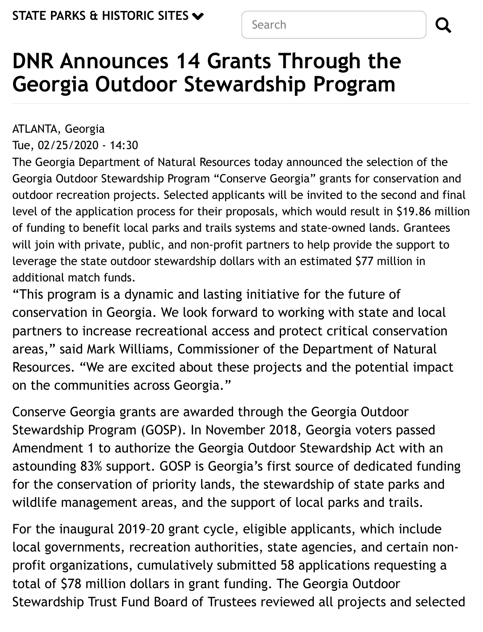Search and **Q** 

# **DNR Announces 14 Grants Through the Georgia Outdoor Stewardship Program**

ATLANTA, Georgia Tue, 02/25/2020 - 14:30

The Georgia Department of Natural Resources today announced the selection of the Georgia Outdoor Stewardship Program "Conserve Georgia" grants for conservation and outdoor recreation projects. Selected applicants will be invited to the second and final level of the application process for their proposals, which would result in \$19.86 million of funding to benefit local parks and trails systems and state-owned lands. Grantees will join with private, public, and non-profit partners to help provide the support to leverage the state outdoor stewardship dollars with an estimated \$77 million in additional match funds.

"This program is a dynamic and lasting initiative for the future of conservation in Georgia. We look forward to working with state and local partners to increase recreational access and protect critical conservation areas," said Mark Williams, Commissioner of the Department of Natural Resources. "We are excited about these projects and the potential impact on the communities across Georgia."

Conserve Georgia grants are awarded through the Georgia Outdoor Stewardship Program (GOSP). In November 2018, Georgia voters passed Amendment 1 to authorize the Georgia Outdoor Stewardship Act with an astounding 83% support. GOSP is Georgia's first source of dedicated funding for the conservation of priority lands, the stewardship of state parks and wildlife management areas, and the support of local parks and trails.

For the inaugural 2019–20 grant cycle, eligible applicants, which include local governments, recreation authorities, state agencies, and certain nonprofit organizations, cumulatively submitted 58 applications requesting a total of \$78 million dollars in grant funding. The Georgia Outdoor Stewardship Trust Fund Board of Trustees reviewed all projects and selected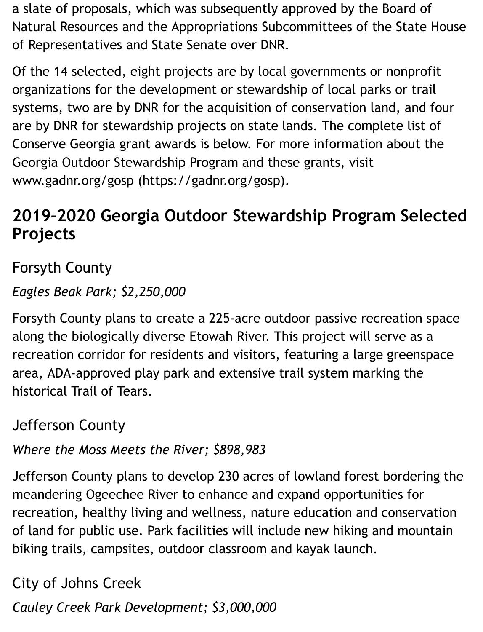a slate of proposals, which was subsequently approved by the Board of Natural Resources and the Appropriations Subcommittees of the State House of Representatives and State Senate over DNR.

Of the 14 selected, eight projects are by local governments or nonprofit organizations for the development or stewardship of local parks or trail systems, two are by DNR for the acquisition of conservation land, and four are by DNR for stewardship projects on state lands. The complete list of Conserve Georgia grant awards is below. For more information about the [Georgia Outdoor Stewardship Program and the](https://gadnr.org/gosp)se grants, visit www.gadnr.org/gosp (https://gadnr.org/gosp).

# **2019–2020 Georgia Outdoor Stewardship Program Selected Projects**

Forsyth County

*Eagles Beak Park; \$2,250,000*

Forsyth County plans to create a 225-acre outdoor passive recreation space along the biologically diverse Etowah River. This project will serve as a recreation corridor for residents and visitors, featuring a large greenspace area, ADA-approved play park and extensive trail system marking the historical Trail of Tears.

Jefferson County

*Where the Moss Meets the River; \$898,983*

Jefferson County plans to develop 230 acres of lowland forest bordering the meandering Ogeechee River to enhance and expand opportunities for recreation, healthy living and wellness, nature education and conservation of land for public use. Park facilities will include new hiking and mountain biking trails, campsites, outdoor classroom and kayak launch.

City of Johns Creek

*Cauley Creek Park Development; \$3,000,000*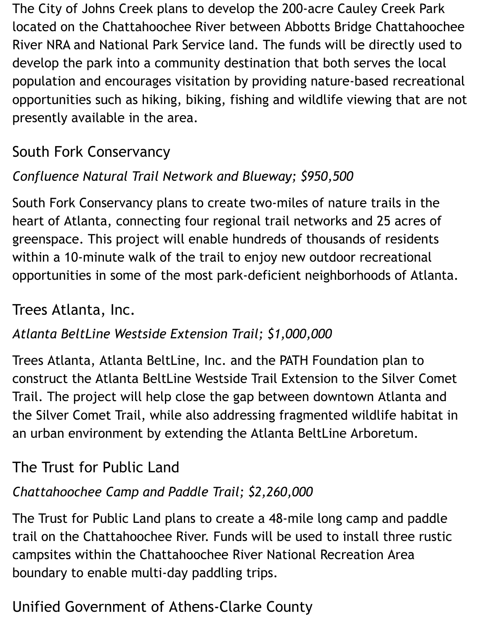The City of Johns Creek plans to develop the 200-acre Cauley Creek Park located on the Chattahoochee River between Abbotts Bridge Chattahoochee River NRA and National Park Service land. The funds will be directly used to develop the park into a community destination that both serves the local population and encourages visitation by providing nature-based recreational opportunities such as hiking, biking, fishing and wildlife viewing that are not presently available in the area.

# South Fork Conservancy

### *Confluence Natural Trail Network and Blueway; \$950,500*

South Fork Conservancy plans to create two-miles of nature trails in the heart of Atlanta, connecting four regional trail networks and 25 acres of greenspace. This project will enable hundreds of thousands of residents within a 10-minute walk of the trail to enjoy new outdoor recreational opportunities in some of the most park-deficient neighborhoods of Atlanta.

### Trees Atlanta, Inc.

#### *Atlanta BeltLine Westside Extension Trail; \$1,000,000*

Trees Atlanta, Atlanta BeltLine, Inc. and the PATH Foundation plan to construct the Atlanta BeltLine Westside Trail Extension to the Silver Comet Trail. The project will help close the gap between downtown Atlanta and the Silver Comet Trail, while also addressing fragmented wildlife habitat in an urban environment by extending the Atlanta BeltLine Arboretum.

### The Trust for Public Land

#### *Chattahoochee Camp and Paddle Trail; \$2,260,000*

The Trust for Public Land plans to create a 48-mile long camp and paddle trail on the Chattahoochee River. Funds will be used to install three rustic campsites within the Chattahoochee River National Recreation Area boundary to enable multi-day paddling trips.

### Unified Government of Athens-Clarke County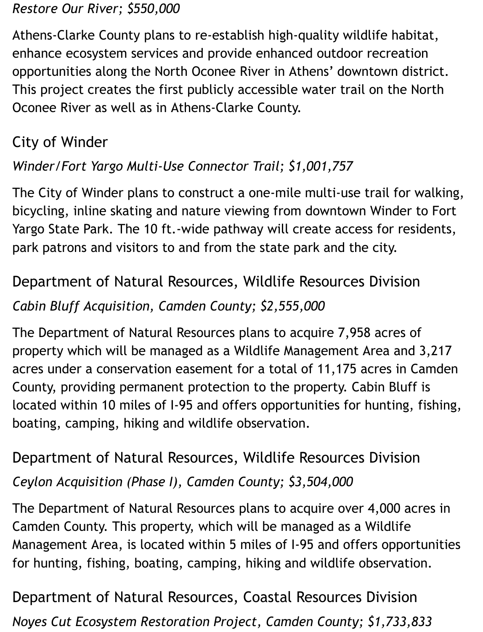#### *Restore Our River; \$550,000*

Athens-Clarke County plans to re-establish high-quality wildlife habitat, enhance ecosystem services and provide enhanced outdoor recreation opportunities along the North Oconee River in Athens' downtown district. This project creates the first publicly accessible water trail on the North Oconee River as well as in Athens-Clarke County.

## City of Winder

#### *Winder/Fort Yargo Multi-Use Connector Trail; \$1,001,757*

The City of Winder plans to construct a one-mile multi-use trail for walking, bicycling, inline skating and nature viewing from downtown Winder to Fort Yargo State Park. The 10 ft.-wide pathway will create access for residents, park patrons and visitors to and from the state park and the city.

# Department of Natural Resources, Wildlife Resources Division *Cabin Bluff Acquisition, Camden County; \$2,555,000*

The Department of Natural Resources plans to acquire 7,958 acres of property which will be managed as a Wildlife Management Area and 3,217 acres under a conservation easement for a total of 11,175 acres in Camden County, providing permanent protection to the property. Cabin Bluff is located within 10 miles of I-95 and offers opportunities for hunting, fishing, boating, camping, hiking and wildlife observation.

# Department of Natural Resources, Wildlife Resources Division *Ceylon Acquisition (Phase I), Camden County; \$3,504,000*

The Department of Natural Resources plans to acquire over 4,000 acres in Camden County. This property, which will be managed as a Wildlife Management Area, is located within 5 miles of I-95 and offers opportunities for hunting, fishing, boating, camping, hiking and wildlife observation.

Department of Natural Resources, Coastal Resources Division *Noyes Cut Ecosystem Restoration Project, Camden County; \$1,733,833*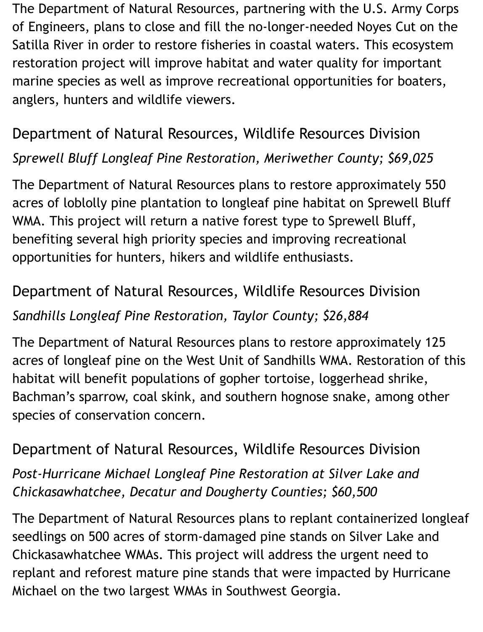The Department of Natural Resources, partnering with the U.S. Army Corps of Engineers, plans to close and fill the no-longer-needed Noyes Cut on the Satilla River in order to restore fisheries in coastal waters. This ecosystem restoration project will improve habitat and water quality for important marine species as well as improve recreational opportunities for boaters, anglers, hunters and wildlife viewers.

# Department of Natural Resources, Wildlife Resources Division

#### *Sprewell Bluff Longleaf Pine Restoration, Meriwether County; \$69,025*

The Department of Natural Resources plans to restore approximately 550 acres of loblolly pine plantation to longleaf pine habitat on Sprewell Bluff WMA. This project will return a native forest type to Sprewell Bluff, benefiting several high priority species and improving recreational opportunities for hunters, hikers and wildlife enthusiasts.

# Department of Natural Resources, Wildlife Resources Division *Sandhills Longleaf Pine Restoration, Taylor County; \$26,884*

The Department of Natural Resources plans to restore approximately 125 acres of longleaf pine on the West Unit of Sandhills WMA. Restoration of this habitat will benefit populations of gopher tortoise, loggerhead shrike, Bachman's sparrow, coal skink, and southern hognose snake, among other species of conservation concern.

#### Department of Natural Resources, Wildlife Resources Division

*Post-Hurricane Michael Longleaf Pine Restoration at Silver Lake and Chickasawhatchee, Decatur and Dougherty Counties; \$60,500*

The Department of Natural Resources plans to replant containerized longleaf seedlings on 500 acres of storm-damaged pine stands on Silver Lake and Chickasawhatchee WMAs. This project will address the urgent need to replant and reforest mature pine stands that were impacted by Hurricane Michael on the two largest WMAs in Southwest Georgia.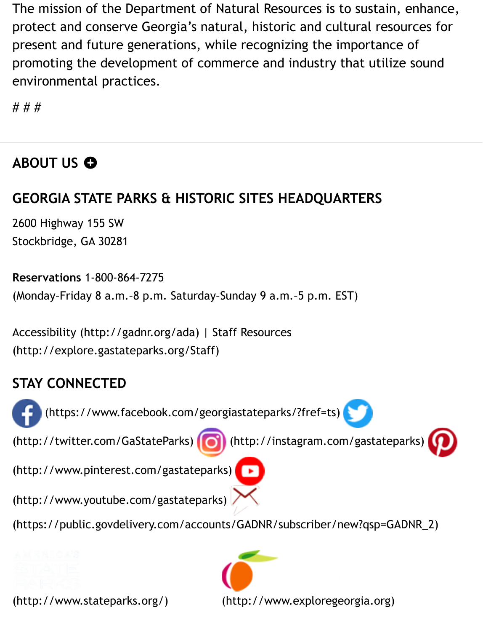The mission of the Department of Natural Resources is to sustain, enhance, protect and conserve Georgia's natural, historic and cultural resources for present and future generations, while recognizing the importance of promoting the development of commerce and industry that utilize sound environmental practices.

# # #

#### ABOUT US **O**

#### **GEORGIA STATE PARKS & HISTORIC SITES HEADQUARTERS**

2600 Highway 155 SW Stockbridge, GA 30281

**Reservations** 1-800-864-7275 (Monday–Friday 8 a.m.–8 p.m. Saturday–Sunday 9 a.m.–5 p.m. EST)

[Accessibility \(http://gadnr.org/ada\) | Staff Resources](http://explore.gastateparks.org/Staff) (http://explore.gastateparks.org/Staff)

#### **[STAY CONNECTED](https://www.facebook.com/georgiastateparks/?fref=ts)**

 [\(https://www.facebook.com/georgiastateparks/?fref=ts\)](http://twitter.com/GaStateParks) [\(http://twitter.com/GaStateParks\) \(http://instagram.com/gastateparks\)](http://www.pinterest.com/gastateparks) [\(http://www.pinterest.com/gastateparks\)](https://public.govdelivery.com/accounts/GADNR/subscriber/new?qsp=GADNR_2) (http://www.youtube.com/gastateparks) [\(https://public.govdelivery.com/acc](http://www.stateparks.org/)oun[ts/GADNR/subscriber/new?qsp=GADNR\\_2\)](http://www.exploregeorgia.org/)

(http://www.stateparks.org/)

(http://www.exploregeorgia.org)